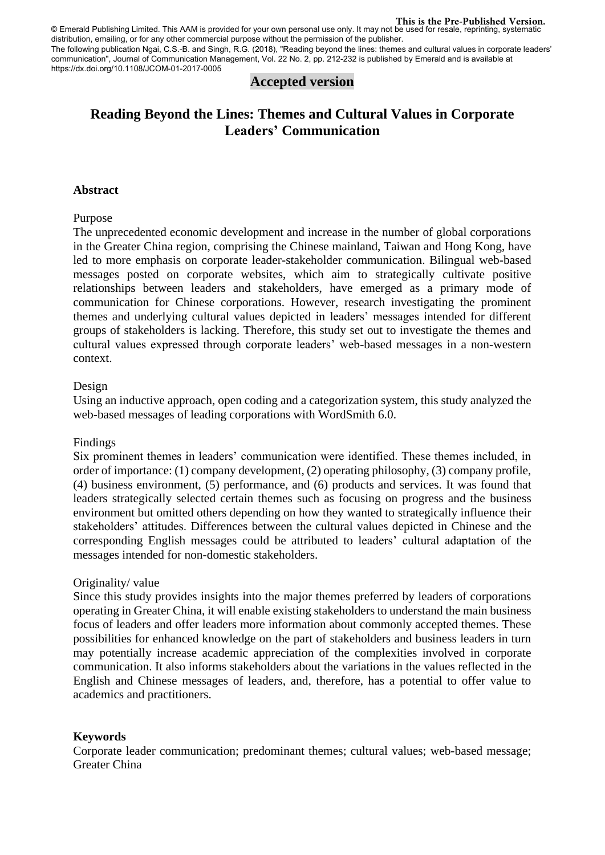The following publication Ngai, C.S.-B. and Singh, R.G. (2018), "Reading beyond the lines: themes and cultural values in corporate leaders' communication", Journal of Communication Management, Vol. 22 No. 2, pp. 212-232 is published by Emerald and is available at https://dx.doi.org/10.1108/JCOM-01-2017-0005 © Emerald Publishing Limited. This AAM is provided for your own personal use only. It may not be used for resale, reprinting, systematic distribution, emailing, or for any other commercial purpose without the permission of the publisher.

## **Accepted version**

# **Reading Beyond the Lines: Themes and Cultural Values in Corporate Leaders' Communication**

### **Abstract**

#### Purpose

The unprecedented economic development and increase in the number of global corporations in the Greater China region, comprising the Chinese mainland, Taiwan and Hong Kong, have led to more emphasis on corporate leader-stakeholder communication. Bilingual web-based messages posted on corporate websites, which aim to strategically cultivate positive relationships between leaders and stakeholders, have emerged as a primary mode of communication for Chinese corporations. However, research investigating the prominent themes and underlying cultural values depicted in leaders' messages intended for different groups of stakeholders is lacking. Therefore, this study set out to investigate the themes and cultural values expressed through corporate leaders' web-based messages in a non-western context.

### Design

Using an inductive approach, open coding and a categorization system, this study analyzed the web-based messages of leading corporations with WordSmith 6.0.

#### Findings

Six prominent themes in leaders' communication were identified. These themes included, in order of importance: (1) company development, (2) operating philosophy, (3) company profile, (4) business environment, (5) performance, and (6) products and services. It was found that leaders strategically selected certain themes such as focusing on progress and the business environment but omitted others depending on how they wanted to strategically influence their stakeholders' attitudes. Differences between the cultural values depicted in Chinese and the corresponding English messages could be attributed to leaders' cultural adaptation of the messages intended for non-domestic stakeholders.

### Originality/ value

Since this study provides insights into the major themes preferred by leaders of corporations operating in Greater China, it will enable existing stakeholders to understand the main business focus of leaders and offer leaders more information about commonly accepted themes. These possibilities for enhanced knowledge on the part of stakeholders and business leaders in turn may potentially increase academic appreciation of the complexities involved in corporate communication. It also informs stakeholders about the variations in the values reflected in the English and Chinese messages of leaders, and, therefore, has a potential to offer value to academics and practitioners.

### **Keywords**

Corporate leader communication; predominant themes; cultural values; web-based message; Greater China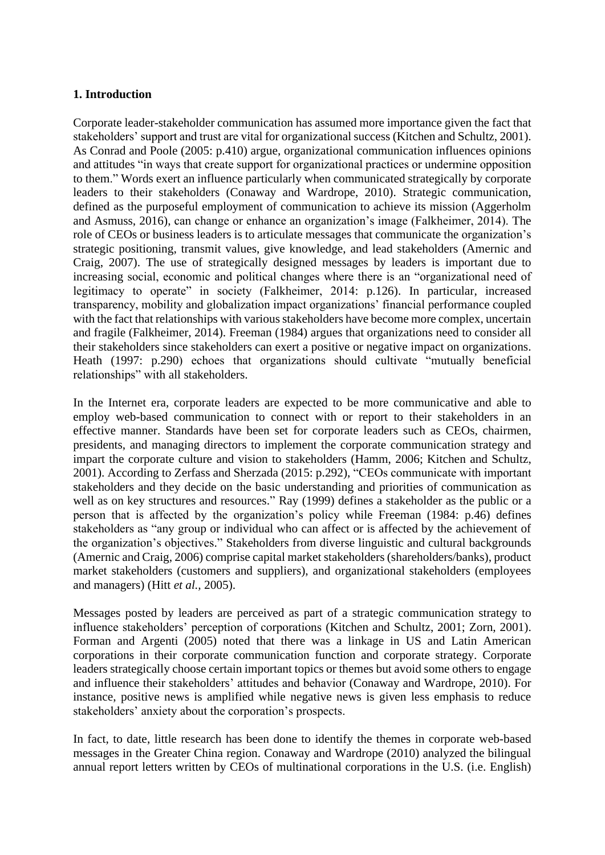## **1. Introduction**

Corporate leader-stakeholder communication has assumed more importance given the fact that stakeholders' support and trust are vital for organizational success (Kitchen and Schultz, 2001). As Conrad and Poole (2005: p.410) argue, organizational communication influences opinions and attitudes "in ways that create support for organizational practices or undermine opposition to them." Words exert an influence particularly when communicated strategically by corporate leaders to their stakeholders (Conaway and Wardrope, 2010). Strategic communication, defined as the purposeful employment of communication to achieve its mission (Aggerholm and Asmuss, 2016), can change or enhance an organization's image (Falkheimer, 2014). The role of CEOs or business leaders is to articulate messages that communicate the organization's strategic positioning, transmit values, give knowledge, and lead stakeholders (Amernic and Craig, 2007). The use of strategically designed messages by leaders is important due to increasing social, economic and political changes where there is an "organizational need of legitimacy to operate" in society (Falkheimer, 2014: p.126). In particular, increased transparency, mobility and globalization impact organizations' financial performance coupled with the fact that relationships with various stakeholders have become more complex, uncertain and fragile (Falkheimer, 2014). Freeman (1984) argues that organizations need to consider all their stakeholders since stakeholders can exert a positive or negative impact on organizations. Heath (1997: p.290) echoes that organizations should cultivate "mutually beneficial relationships" with all stakeholders.

In the Internet era, corporate leaders are expected to be more communicative and able to employ web-based communication to connect with or report to their stakeholders in an effective manner. Standards have been set for corporate leaders such as CEOs, chairmen, presidents, and managing directors to implement the corporate communication strategy and impart the corporate culture and vision to stakeholders (Hamm, 2006; Kitchen and Schultz, 2001). According to Zerfass and Sherzada (2015: p.292), "CEOs communicate with important stakeholders and they decide on the basic understanding and priorities of communication as well as on key structures and resources." Ray (1999) defines a stakeholder as the public or a person that is affected by the organization's policy while Freeman (1984: p.46) defines stakeholders as "any group or individual who can affect or is affected by the achievement of the organization's objectives." Stakeholders from diverse linguistic and cultural backgrounds (Amernic and Craig, 2006) comprise capital market stakeholders (shareholders/banks), product market stakeholders (customers and suppliers), and organizational stakeholders (employees and managers) (Hitt *et al.,* 2005).

Messages posted by leaders are perceived as part of a strategic communication strategy to influence stakeholders' perception of corporations (Kitchen and Schultz, 2001; Zorn, 2001). Forman and Argenti (2005) noted that there was a linkage in US and Latin American corporations in their corporate communication function and corporate strategy. Corporate leaders strategically choose certain important topics or themes but avoid some others to engage and influence their stakeholders' attitudes and behavior (Conaway and Wardrope, 2010). For instance, positive news is amplified while negative news is given less emphasis to reduce stakeholders' anxiety about the corporation's prospects.

In fact, to date, little research has been done to identify the themes in corporate web-based messages in the Greater China region. Conaway and Wardrope (2010) analyzed the bilingual annual report letters written by CEOs of multinational corporations in the U.S. (i.e. English)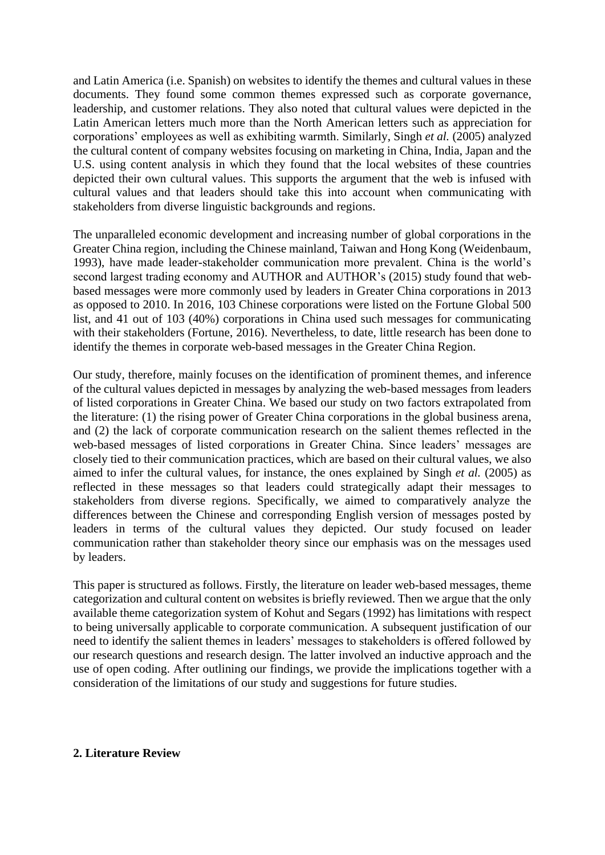and Latin America (i.e. Spanish) on websites to identify the themes and cultural values in these documents. They found some common themes expressed such as corporate governance, leadership, and customer relations. They also noted that cultural values were depicted in the Latin American letters much more than the North American letters such as appreciation for corporations' employees as well as exhibiting warmth. Similarly, Singh *et al.* (2005) analyzed the cultural content of company websites focusing on marketing in China, India, Japan and the U.S. using content analysis in which they found that the local websites of these countries depicted their own cultural values. This supports the argument that the web is infused with cultural values and that leaders should take this into account when communicating with stakeholders from diverse linguistic backgrounds and regions.

The unparalleled economic development and increasing number of global corporations in the Greater China region, including the Chinese mainland, Taiwan and Hong Kong (Weidenbaum, 1993), have made leader-stakeholder communication more prevalent. China is the world's second largest trading economy and AUTHOR and AUTHOR's (2015) study found that webbased messages were more commonly used by leaders in Greater China corporations in 2013 as opposed to 2010. In 2016, 103 Chinese corporations were listed on the Fortune Global 500 list, and 41 out of 103 (40%) corporations in China used such messages for communicating with their stakeholders (Fortune, 2016). Nevertheless, to date, little research has been done to identify the themes in corporate web-based messages in the Greater China Region.

Our study, therefore, mainly focuses on the identification of prominent themes, and inference of the cultural values depicted in messages by analyzing the web-based messages from leaders of listed corporations in Greater China. We based our study on two factors extrapolated from the literature: (1) the rising power of Greater China corporations in the global business arena, and (2) the lack of corporate communication research on the salient themes reflected in the web-based messages of listed corporations in Greater China. Since leaders' messages are closely tied to their communication practices, which are based on their cultural values, we also aimed to infer the cultural values, for instance, the ones explained by Singh *et al.* (2005) as reflected in these messages so that leaders could strategically adapt their messages to stakeholders from diverse regions. Specifically, we aimed to comparatively analyze the differences between the Chinese and corresponding English version of messages posted by leaders in terms of the cultural values they depicted. Our study focused on leader communication rather than stakeholder theory since our emphasis was on the messages used by leaders.

This paper is structured as follows. Firstly, the literature on leader web-based messages, theme categorization and cultural content on websites is briefly reviewed. Then we argue that the only available theme categorization system of Kohut and Segars (1992) has limitations with respect to being universally applicable to corporate communication. A subsequent justification of our need to identify the salient themes in leaders' messages to stakeholders is offered followed by our research questions and research design. The latter involved an inductive approach and the use of open coding. After outlining our findings, we provide the implications together with a consideration of the limitations of our study and suggestions for future studies.

### **2. Literature Review**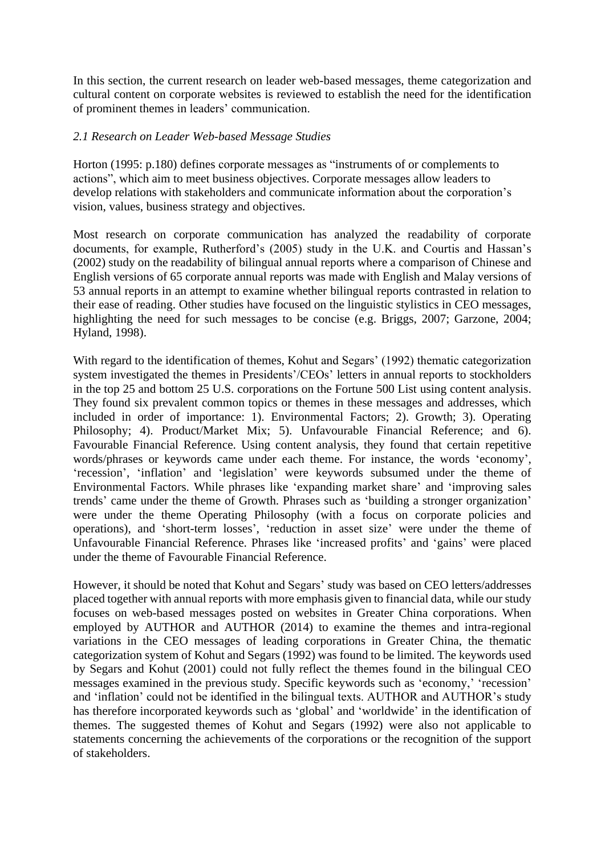In this section, the current research on leader web-based messages, theme categorization and cultural content on corporate websites is reviewed to establish the need for the identification of prominent themes in leaders' communication.

## *2.1 Research on Leader Web-based Message Studies*

Horton (1995: p.180) defines corporate messages as "instruments of or complements to actions", which aim to meet business objectives. Corporate messages allow leaders to develop relations with stakeholders and communicate information about the corporation's vision, values, business strategy and objectives.

Most research on corporate communication has analyzed the readability of corporate documents, for example, Rutherford's (2005) study in the U.K. and Courtis and Hassan's (2002) study on the readability of bilingual annual reports where a comparison of Chinese and English versions of 65 corporate annual reports was made with English and Malay versions of 53 annual reports in an attempt to examine whether bilingual reports contrasted in relation to their ease of reading. Other studies have focused on the linguistic stylistics in CEO messages, highlighting the need for such messages to be concise (e.g. Briggs, 2007; Garzone, 2004; Hyland, 1998).

With regard to the identification of themes, Kohut and Segars' (1992) thematic categorization system investigated the themes in Presidents'/CEOs' letters in annual reports to stockholders in the top 25 and bottom 25 U.S. corporations on the Fortune 500 List using content analysis. They found six prevalent common topics or themes in these messages and addresses, which included in order of importance: 1). Environmental Factors; 2). Growth; 3). Operating Philosophy; 4). Product/Market Mix; 5). Unfavourable Financial Reference; and 6). Favourable Financial Reference. Using content analysis, they found that certain repetitive words/phrases or keywords came under each theme. For instance, the words 'economy', 'recession', 'inflation' and 'legislation' were keywords subsumed under the theme of Environmental Factors. While phrases like 'expanding market share' and 'improving sales trends' came under the theme of Growth. Phrases such as 'building a stronger organization' were under the theme Operating Philosophy (with a focus on corporate policies and operations), and 'short-term losses', 'reduction in asset size' were under the theme of Unfavourable Financial Reference. Phrases like 'increased profits' and 'gains' were placed under the theme of Favourable Financial Reference.

However, it should be noted that Kohut and Segars' study was based on CEO letters/addresses placed together with annual reports with more emphasis given to financial data, while our study focuses on web-based messages posted on websites in Greater China corporations. When employed by AUTHOR and AUTHOR (2014) to examine the themes and intra-regional variations in the CEO messages of leading corporations in Greater China, the thematic categorization system of Kohut and Segars (1992) was found to be limited. The keywords used by Segars and Kohut (2001) could not fully reflect the themes found in the bilingual CEO messages examined in the previous study. Specific keywords such as 'economy,' 'recession' and 'inflation' could not be identified in the bilingual texts. AUTHOR and AUTHOR's study has therefore incorporated keywords such as 'global' and 'worldwide' in the identification of themes. The suggested themes of Kohut and Segars (1992) were also not applicable to statements concerning the achievements of the corporations or the recognition of the support of stakeholders.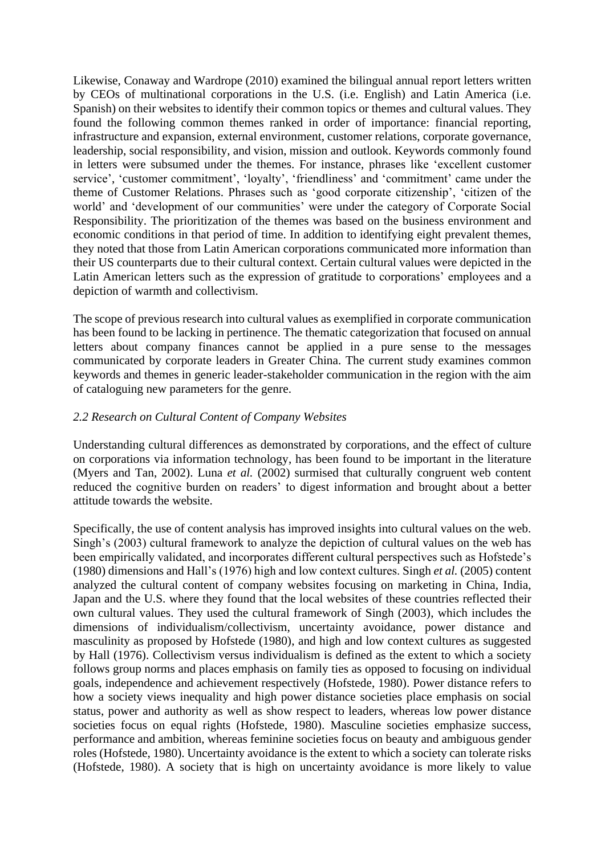Likewise, Conaway and Wardrope (2010) examined the bilingual annual report letters written by CEOs of multinational corporations in the U.S. (i.e. English) and Latin America (i.e. Spanish) on their websites to identify their common topics or themes and cultural values. They found the following common themes ranked in order of importance: financial reporting, infrastructure and expansion, external environment, customer relations, corporate governance, leadership, social responsibility, and vision, mission and outlook. Keywords commonly found in letters were subsumed under the themes. For instance, phrases like 'excellent customer service', 'customer commitment', 'loyalty', 'friendliness' and 'commitment' came under the theme of Customer Relations. Phrases such as 'good corporate citizenship', 'citizen of the world' and 'development of our communities' were under the category of Corporate Social Responsibility. The prioritization of the themes was based on the business environment and economic conditions in that period of time. In addition to identifying eight prevalent themes, they noted that those from Latin American corporations communicated more information than their US counterparts due to their cultural context. Certain cultural values were depicted in the Latin American letters such as the expression of gratitude to corporations' employees and a depiction of warmth and collectivism.

The scope of previous research into cultural values as exemplified in corporate communication has been found to be lacking in pertinence. The thematic categorization that focused on annual letters about company finances cannot be applied in a pure sense to the messages communicated by corporate leaders in Greater China. The current study examines common keywords and themes in generic leader-stakeholder communication in the region with the aim of cataloguing new parameters for the genre.

## *2.2 Research on Cultural Content of Company Websites*

Understanding cultural differences as demonstrated by corporations, and the effect of culture on corporations via information technology, has been found to be important in the literature (Myers and Tan, 2002). Luna *et al.* (2002) surmised that culturally congruent web content reduced the cognitive burden on readers' to digest information and brought about a better attitude towards the website.

Specifically, the use of content analysis has improved insights into cultural values on the web. Singh's (2003) cultural framework to analyze the depiction of cultural values on the web has been empirically validated, and incorporates different cultural perspectives such as Hofstede's (1980) dimensions and Hall's (1976) high and low context cultures. Singh *et al.* (2005) content analyzed the cultural content of company websites focusing on marketing in China, India, Japan and the U.S. where they found that the local websites of these countries reflected their own cultural values. They used the cultural framework of Singh (2003), which includes the dimensions of individualism/collectivism, uncertainty avoidance, power distance and masculinity as proposed by Hofstede (1980), and high and low context cultures as suggested by Hall (1976). Collectivism versus individualism is defined as the extent to which a society follows group norms and places emphasis on family ties as opposed to focusing on individual goals, independence and achievement respectively (Hofstede, 1980). Power distance refers to how a society views inequality and high power distance societies place emphasis on social status, power and authority as well as show respect to leaders, whereas low power distance societies focus on equal rights (Hofstede, 1980). Masculine societies emphasize success, performance and ambition, whereas feminine societies focus on beauty and ambiguous gender roles (Hofstede, 1980). Uncertainty avoidance is the extent to which a society can tolerate risks (Hofstede, 1980). A society that is high on uncertainty avoidance is more likely to value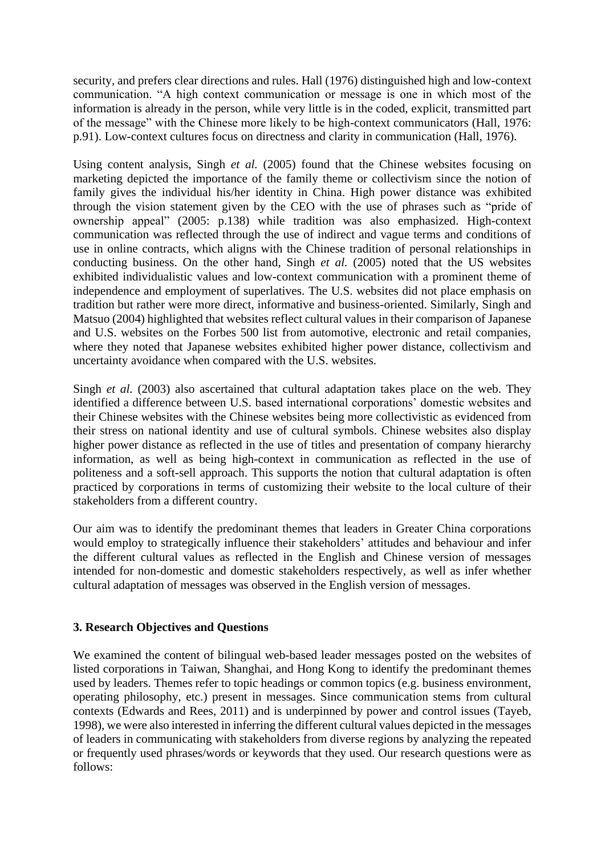security, and prefers clear directions and rules. Hall (1976) distinguished high and low-context communication. "A high context communication or message is one in which most of the information is already in the person, while very little is in the coded, explicit, transmitted part of the message" with the Chinese more likely to be high-context communicators (Hall, 1976: p.91). Low-context cultures focus on directness and clarity in communication (Hall, 1976).

Using content analysis, Singh *et al.* (2005) found that the Chinese websites focusing on marketing depicted the importance of the family theme or collectivism since the notion of family gives the individual his/her identity in China. High power distance was exhibited through the vision statement given by the CEO with the use of phrases such as "pride of ownership appeal" (2005: p.138) while tradition was also emphasized. High-context communication was reflected through the use of indirect and vague terms and conditions of use in online contracts, which aligns with the Chinese tradition of personal relationships in conducting business. On the other hand, Singh *et al.* (2005) noted that the US websites exhibited individualistic values and low-context communication with a prominent theme of independence and employment of superlatives. The U.S. websites did not place emphasis on tradition but rather were more direct, informative and business-oriented. Similarly, Singh and Matsuo (2004) highlighted that websites reflect cultural values in their comparison of Japanese and U.S. websites on the Forbes 500 list from automotive, electronic and retail companies, where they noted that Japanese websites exhibited higher power distance, collectivism and uncertainty avoidance when compared with the U.S. websites.

Singh *et al.* (2003) also ascertained that cultural adaptation takes place on the web. They identified a difference between U.S. based international corporations' domestic websites and their Chinese websites with the Chinese websites being more collectivistic as evidenced from their stress on national identity and use of cultural symbols. Chinese websites also display higher power distance as reflected in the use of titles and presentation of company hierarchy information, as well as being high-context in communication as reflected in the use of politeness and a soft-sell approach. This supports the notion that cultural adaptation is often practiced by corporations in terms of customizing their website to the local culture of their stakeholders from a different country.

Our aim was to identify the predominant themes that leaders in Greater China corporations would employ to strategically influence their stakeholders' attitudes and behaviour and infer the different cultural values as reflected in the English and Chinese version of messages intended for non-domestic and domestic stakeholders respectively, as well as infer whether cultural adaptation of messages was observed in the English version of messages.

## **3. Research Objectives and Questions**

We examined the content of bilingual web-based leader messages posted on the websites of listed corporations in Taiwan, Shanghai, and Hong Kong to identify the predominant themes used by leaders. Themes refer to topic headings or common topics (e.g. business environment, operating philosophy, etc.) present in messages. Since communication stems from cultural contexts (Edwards and Rees, 2011) and is underpinned by power and control issues (Tayeb, 1998), we were also interested in inferring the different cultural values depicted in the messages of leaders in communicating with stakeholders from diverse regions by analyzing the repeated or frequently used phrases/words or keywords that they used. Our research questions were as follows: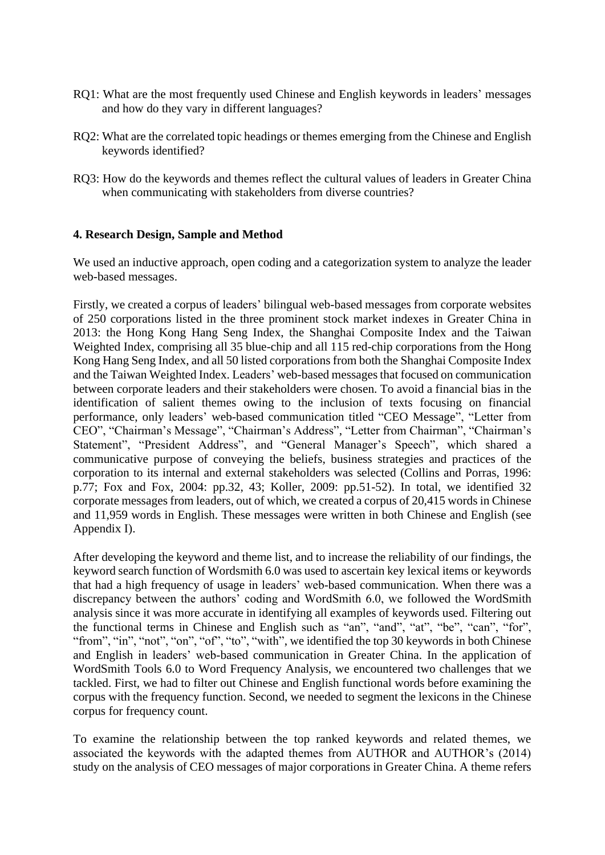- RQ1: What are the most frequently used Chinese and English keywords in leaders' messages and how do they vary in different languages?
- RQ2: What are the correlated topic headings or themes emerging from the Chinese and English keywords identified?
- RQ3: How do the keywords and themes reflect the cultural values of leaders in Greater China when communicating with stakeholders from diverse countries?

### **4. Research Design, Sample and Method**

We used an inductive approach, open coding and a categorization system to analyze the leader web-based messages.

Firstly, we created a corpus of leaders' bilingual web-based messages from corporate websites of 250 corporations listed in the three prominent stock market indexes in Greater China in 2013: the Hong Kong Hang Seng Index, the Shanghai Composite Index and the Taiwan Weighted Index, comprising all 35 blue-chip and all 115 red-chip corporations from the Hong Kong Hang Seng Index, and all 50 listed corporations from both the Shanghai Composite Index and the Taiwan Weighted Index. Leaders' web-based messagesthat focused on communication between corporate leaders and their stakeholders were chosen. To avoid a financial bias in the identification of salient themes owing to the inclusion of texts focusing on financial performance, only leaders' web-based communication titled "CEO Message", "Letter from CEO", "Chairman's Message", "Chairman's Address", "Letter from Chairman", "Chairman's Statement", "President Address", and "General Manager's Speech", which shared a communicative purpose of conveying the beliefs, business strategies and practices of the corporation to its internal and external stakeholders was selected (Collins and Porras, 1996: p.77; Fox and Fox, 2004: pp.32, 43; Koller, 2009: pp.51-52). In total, we identified 32 corporate messages from leaders, out of which, we created a corpus of 20,415 words in Chinese and 11,959 words in English. These messages were written in both Chinese and English (see Appendix I).

After developing the keyword and theme list, and to increase the reliability of our findings, the keyword search function of Wordsmith 6.0 was used to ascertain key lexical items or keywords that had a high frequency of usage in leaders' web-based communication. When there was a discrepancy between the authors' coding and WordSmith 6.0, we followed the WordSmith analysis since it was more accurate in identifying all examples of keywords used. Filtering out the functional terms in Chinese and English such as "an", "and", "at", "be", "can", "for", "from", "in", "not", "on", "of", "to", "with", we identified the top 30 keywords in both Chinese and English in leaders' web-based communication in Greater China. In the application of WordSmith Tools 6.0 to Word Frequency Analysis, we encountered two challenges that we tackled. First, we had to filter out Chinese and English functional words before examining the corpus with the frequency function. Second, we needed to segment the lexicons in the Chinese corpus for frequency count.

To examine the relationship between the top ranked keywords and related themes, we associated the keywords with the adapted themes from AUTHOR and AUTHOR's (2014) study on the analysis of CEO messages of major corporations in Greater China. A theme refers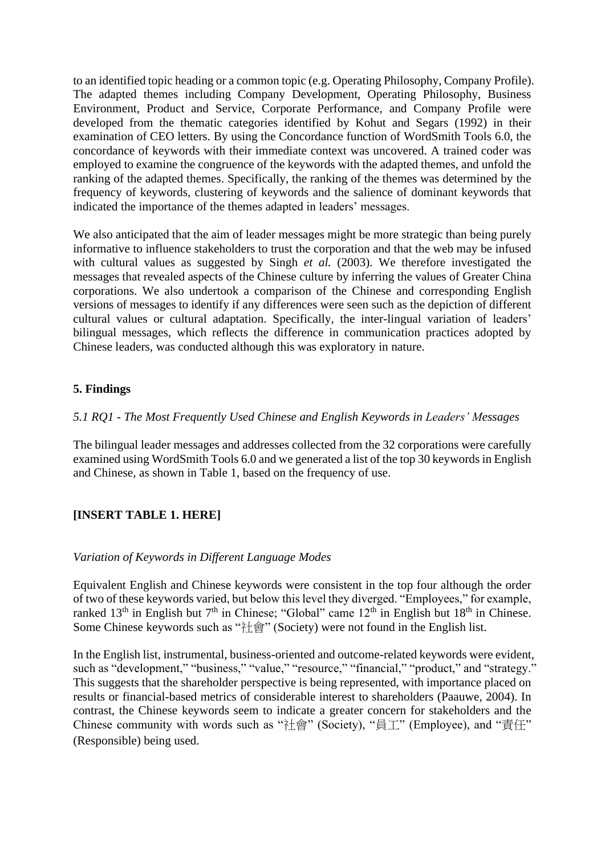to an identified topic heading or a common topic (e.g. Operating Philosophy, Company Profile). The adapted themes including Company Development, Operating Philosophy, Business Environment, Product and Service, Corporate Performance, and Company Profile were developed from the thematic categories identified by Kohut and Segars (1992) in their examination of CEO letters. By using the Concordance function of WordSmith Tools 6.0, the concordance of keywords with their immediate context was uncovered. A trained coder was employed to examine the congruence of the keywords with the adapted themes, and unfold the ranking of the adapted themes. Specifically, the ranking of the themes was determined by the frequency of keywords, clustering of keywords and the salience of dominant keywords that indicated the importance of the themes adapted in leaders' messages.

We also anticipated that the aim of leader messages might be more strategic than being purely informative to influence stakeholders to trust the corporation and that the web may be infused with cultural values as suggested by Singh *et al.* (2003). We therefore investigated the messages that revealed aspects of the Chinese culture by inferring the values of Greater China corporations. We also undertook a comparison of the Chinese and corresponding English versions of messages to identify if any differences were seen such as the depiction of different cultural values or cultural adaptation. Specifically, the inter-lingual variation of leaders' bilingual messages, which reflects the difference in communication practices adopted by Chinese leaders, was conducted although this was exploratory in nature.

## **5. Findings**

*5.1 RQ1 - The Most Frequently Used Chinese and English Keywords in Leaders' Messages*

The bilingual leader messages and addresses collected from the 32 corporations were carefully examined using WordSmith Tools 6.0 and we generated a list of the top 30 keywords in English and Chinese, as shown in Table 1, based on the frequency of use.

## **[INSERT TABLE 1. HERE]**

## *Variation of Keywords in Different Language Modes*

Equivalent English and Chinese keywords were consistent in the top four although the order of two of these keywords varied, but below this level they diverged. "Employees," for example, ranked 13<sup>th</sup> in English but  $7<sup>th</sup>$  in Chinese; "Global" came 12<sup>th</sup> in English but 18<sup>th</sup> in Chinese. Some Chinese keywords such as "社會" (Society) were not found in the English list.

In the English list, instrumental, business-oriented and outcome-related keywords were evident, such as "development," "business," "value," "resource," "financial," "product," and "strategy." This suggests that the shareholder perspective is being represented, with importance placed on results or financial-based metrics of considerable interest to shareholders (Paauwe, 2004). In contrast, the Chinese keywords seem to indicate a greater concern for stakeholders and the Chinese community with words such as "社會" (Society), "員工" (Employee), and "責任" (Responsible) being used.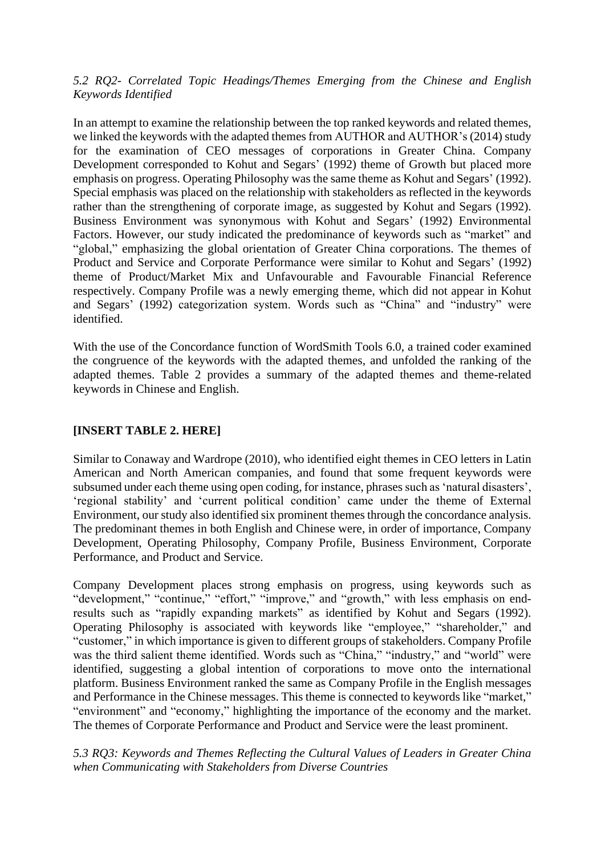## *5.2 RQ2- Correlated Topic Headings/Themes Emerging from the Chinese and English Keywords Identified*

In an attempt to examine the relationship between the top ranked keywords and related themes, we linked the keywords with the adapted themes from AUTHOR and AUTHOR's (2014) study for the examination of CEO messages of corporations in Greater China. Company Development corresponded to Kohut and Segars' (1992) theme of Growth but placed more emphasis on progress. Operating Philosophy was the same theme as Kohut and Segars' (1992). Special emphasis was placed on the relationship with stakeholders as reflected in the keywords rather than the strengthening of corporate image, as suggested by Kohut and Segars (1992). Business Environment was synonymous with Kohut and Segars' (1992) Environmental Factors. However, our study indicated the predominance of keywords such as "market" and "global," emphasizing the global orientation of Greater China corporations. The themes of Product and Service and Corporate Performance were similar to Kohut and Segars' (1992) theme of Product/Market Mix and Unfavourable and Favourable Financial Reference respectively. Company Profile was a newly emerging theme, which did not appear in Kohut and Segars' (1992) categorization system. Words such as "China" and "industry" were identified.

With the use of the Concordance function of WordSmith Tools 6.0, a trained coder examined the congruence of the keywords with the adapted themes, and unfolded the ranking of the adapted themes. Table 2 provides a summary of the adapted themes and theme-related keywords in Chinese and English.

## **[INSERT TABLE 2. HERE]**

Similar to Conaway and Wardrope (2010), who identified eight themes in CEO letters in Latin American and North American companies, and found that some frequent keywords were subsumed under each theme using open coding, for instance, phrases such as 'natural disasters', 'regional stability' and 'current political condition' came under the theme of External Environment, our study also identified six prominent themes through the concordance analysis. The predominant themes in both English and Chinese were, in order of importance, Company Development, Operating Philosophy, Company Profile, Business Environment, Corporate Performance, and Product and Service.

Company Development places strong emphasis on progress, using keywords such as "development," "continue," "effort," "improve," and "growth," with less emphasis on endresults such as "rapidly expanding markets" as identified by Kohut and Segars (1992). Operating Philosophy is associated with keywords like "employee," "shareholder," and "customer," in which importance is given to different groups of stakeholders. Company Profile was the third salient theme identified. Words such as "China," "industry," and "world" were identified, suggesting a global intention of corporations to move onto the international platform. Business Environment ranked the same as Company Profile in the English messages and Performance in the Chinese messages. This theme is connected to keywords like "market," "environment" and "economy," highlighting the importance of the economy and the market. The themes of Corporate Performance and Product and Service were the least prominent.

*5.3 RQ3: Keywords and Themes Reflecting the Cultural Values of Leaders in Greater China when Communicating with Stakeholders from Diverse Countries*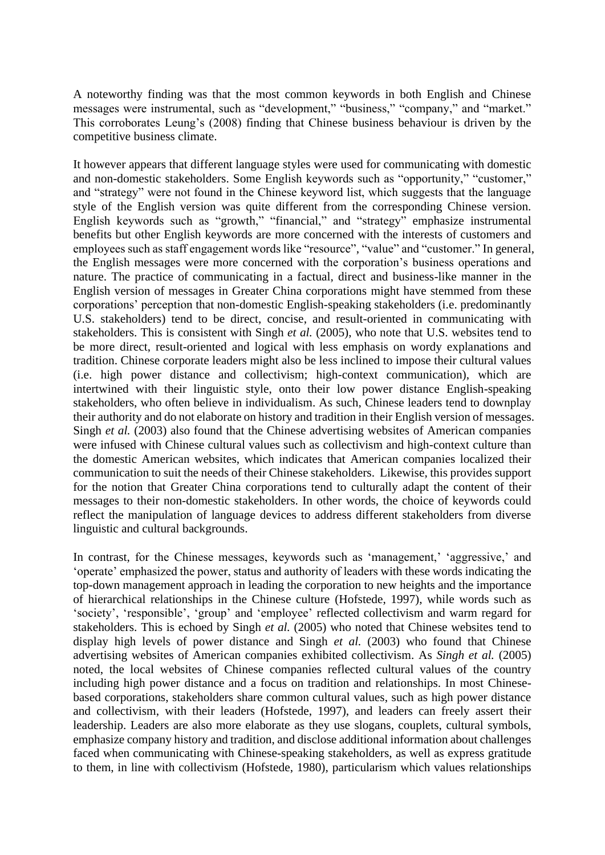A noteworthy finding was that the most common keywords in both English and Chinese messages were instrumental, such as "development," "business," "company," and "market." This corroborates Leung's (2008) finding that Chinese business behaviour is driven by the competitive business climate.

It however appears that different language styles were used for communicating with domestic and non-domestic stakeholders. Some English keywords such as "opportunity," "customer," and "strategy" were not found in the Chinese keyword list, which suggests that the language style of the English version was quite different from the corresponding Chinese version. English keywords such as "growth," "financial," and "strategy" emphasize instrumental benefits but other English keywords are more concerned with the interests of customers and employees such as staff engagement words like "resource", "value" and "customer." In general, the English messages were more concerned with the corporation's business operations and nature. The practice of communicating in a factual, direct and business-like manner in the English version of messages in Greater China corporations might have stemmed from these corporations' perception that non-domestic English-speaking stakeholders (i.e. predominantly U.S. stakeholders) tend to be direct, concise, and result-oriented in communicating with stakeholders. This is consistent with Singh *et al.* (2005), who note that U.S. websites tend to be more direct, result-oriented and logical with less emphasis on wordy explanations and tradition. Chinese corporate leaders might also be less inclined to impose their cultural values (i.e. high power distance and collectivism; high-context communication), which are intertwined with their linguistic style, onto their low power distance English-speaking stakeholders, who often believe in individualism. As such, Chinese leaders tend to downplay their authority and do not elaborate on history and tradition in their English version of messages. Singh *et al.* (2003) also found that the Chinese advertising websites of American companies were infused with Chinese cultural values such as collectivism and high-context culture than the domestic American websites, which indicates that American companies localized their communication to suit the needs of their Chinese stakeholders. Likewise, this provides support for the notion that Greater China corporations tend to culturally adapt the content of their messages to their non-domestic stakeholders. In other words, the choice of keywords could reflect the manipulation of language devices to address different stakeholders from diverse linguistic and cultural backgrounds.

In contrast, for the Chinese messages, keywords such as 'management,' 'aggressive,' and 'operate' emphasized the power, status and authority of leaders with these words indicating the top-down management approach in leading the corporation to new heights and the importance of hierarchical relationships in the Chinese culture (Hofstede, 1997), while words such as 'society', 'responsible', 'group' and 'employee' reflected collectivism and warm regard for stakeholders. This is echoed by Singh *et al.* (2005) who noted that Chinese websites tend to display high levels of power distance and Singh *et al.* (2003) who found that Chinese advertising websites of American companies exhibited collectivism. As *Singh et al.* (2005) noted, the local websites of Chinese companies reflected cultural values of the country including high power distance and a focus on tradition and relationships. In most Chinesebased corporations, stakeholders share common cultural values, such as high power distance and collectivism, with their leaders (Hofstede, 1997), and leaders can freely assert their leadership. Leaders are also more elaborate as they use slogans, couplets, cultural symbols, emphasize company history and tradition, and disclose additional information about challenges faced when communicating with Chinese-speaking stakeholders, as well as express gratitude to them, in line with collectivism (Hofstede, 1980), particularism which values relationships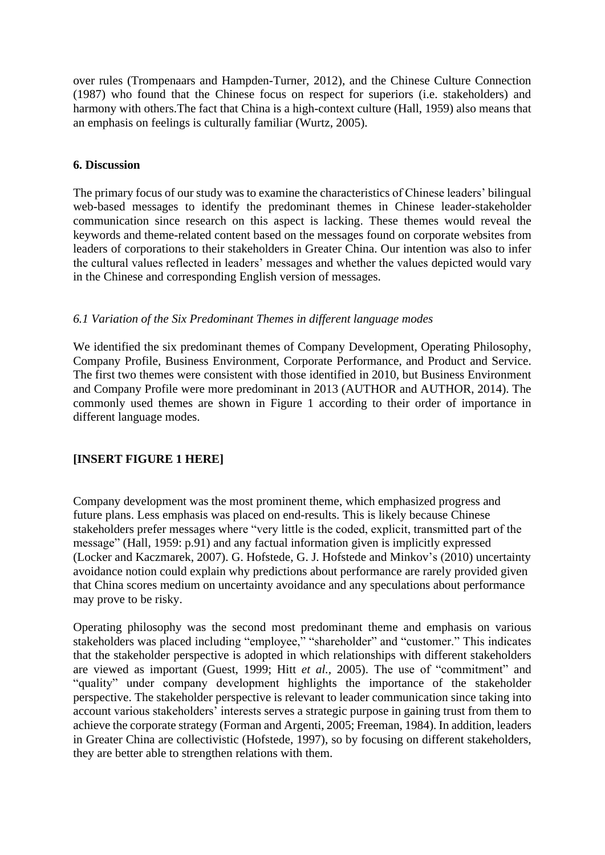over rules (Trompenaars and Hampden-Turner, 2012), and the Chinese Culture Connection (1987) who found that the Chinese focus on respect for superiors (i.e. stakeholders) and harmony with others.The fact that China is a high-context culture (Hall, 1959) also means that an emphasis on feelings is culturally familiar (Wurtz, 2005).

### **6. Discussion**

The primary focus of our study was to examine the characteristics of Chinese leaders' bilingual web-based messages to identify the predominant themes in Chinese leader-stakeholder communication since research on this aspect is lacking. These themes would reveal the keywords and theme-related content based on the messages found on corporate websites from leaders of corporations to their stakeholders in Greater China. Our intention was also to infer the cultural values reflected in leaders' messages and whether the values depicted would vary in the Chinese and corresponding English version of messages.

## *6.1 Variation of the Six Predominant Themes in different language modes*

We identified the six predominant themes of Company Development, Operating Philosophy, Company Profile, Business Environment, Corporate Performance, and Product and Service. The first two themes were consistent with those identified in 2010, but Business Environment and Company Profile were more predominant in 2013 (AUTHOR and AUTHOR, 2014). The commonly used themes are shown in Figure 1 according to their order of importance in different language modes.

## **[INSERT FIGURE 1 HERE]**

Company development was the most prominent theme, which emphasized progress and future plans. Less emphasis was placed on end-results. This is likely because Chinese stakeholders prefer messages where "very little is the coded, explicit, transmitted part of the message" (Hall, 1959: p.91) and any factual information given is implicitly expressed (Locker and Kaczmarek, 2007). G. Hofstede, G. J. Hofstede and Minkov's (2010) uncertainty avoidance notion could explain why predictions about performance are rarely provided given that China scores medium on uncertainty avoidance and any speculations about performance may prove to be risky.

Operating philosophy was the second most predominant theme and emphasis on various stakeholders was placed including "employee," "shareholder" and "customer." This indicates that the stakeholder perspective is adopted in which relationships with different stakeholders are viewed as important (Guest, 1999; Hitt *et al.,* 2005). The use of "commitment" and "quality" under company development highlights the importance of the stakeholder perspective. The stakeholder perspective is relevant to leader communication since taking into account various stakeholders' interests serves a strategic purpose in gaining trust from them to achieve the corporate strategy (Forman and Argenti, 2005; Freeman, 1984). In addition, leaders in Greater China are collectivistic (Hofstede, 1997), so by focusing on different stakeholders, they are better able to strengthen relations with them.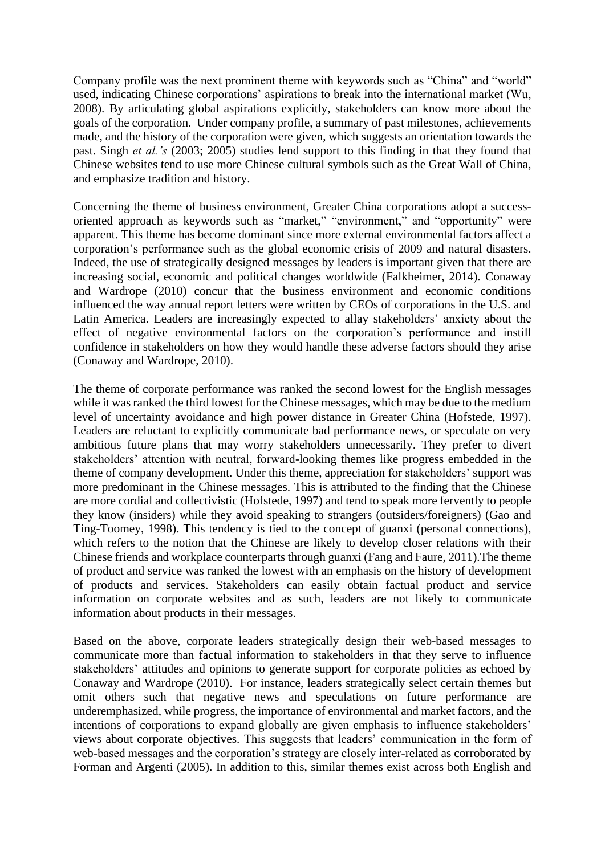Company profile was the next prominent theme with keywords such as "China" and "world" used, indicating Chinese corporations' aspirations to break into the international market (Wu, 2008). By articulating global aspirations explicitly, stakeholders can know more about the goals of the corporation. Under company profile, a summary of past milestones, achievements made, and the history of the corporation were given, which suggests an orientation towards the past. Singh *et al.'s* (2003; 2005) studies lend support to this finding in that they found that Chinese websites tend to use more Chinese cultural symbols such as the Great Wall of China, and emphasize tradition and history.

Concerning the theme of business environment, Greater China corporations adopt a successoriented approach as keywords such as "market," "environment," and "opportunity" were apparent. This theme has become dominant since more external environmental factors affect a corporation's performance such as the global economic crisis of 2009 and natural disasters. Indeed, the use of strategically designed messages by leaders is important given that there are increasing social, economic and political changes worldwide (Falkheimer, 2014). Conaway and Wardrope (2010) concur that the business environment and economic conditions influenced the way annual report letters were written by CEOs of corporations in the U.S. and Latin America. Leaders are increasingly expected to allay stakeholders' anxiety about the effect of negative environmental factors on the corporation's performance and instill confidence in stakeholders on how they would handle these adverse factors should they arise (Conaway and Wardrope, 2010).

The theme of corporate performance was ranked the second lowest for the English messages while it was ranked the third lowest for the Chinese messages, which may be due to the medium level of uncertainty avoidance and high power distance in Greater China (Hofstede, 1997). Leaders are reluctant to explicitly communicate bad performance news, or speculate on very ambitious future plans that may worry stakeholders unnecessarily. They prefer to divert stakeholders' attention with neutral, forward-looking themes like progress embedded in the theme of company development. Under this theme, appreciation for stakeholders' support was more predominant in the Chinese messages. This is attributed to the finding that the Chinese are more cordial and collectivistic (Hofstede, 1997) and tend to speak more fervently to people they know (insiders) while they avoid speaking to strangers (outsiders/foreigners) (Gao and Ting-Toomey, 1998). This tendency is tied to the concept of guanxi (personal connections), which refers to the notion that the Chinese are likely to develop closer relations with their Chinese friends and workplace counterparts through guanxi (Fang and Faure, 2011).The theme of product and service was ranked the lowest with an emphasis on the history of development of products and services. Stakeholders can easily obtain factual product and service information on corporate websites and as such, leaders are not likely to communicate information about products in their messages.

Based on the above, corporate leaders strategically design their web-based messages to communicate more than factual information to stakeholders in that they serve to influence stakeholders' attitudes and opinions to generate support for corporate policies as echoed by Conaway and Wardrope (2010). For instance, leaders strategically select certain themes but omit others such that negative news and speculations on future performance are underemphasized, while progress, the importance of environmental and market factors, and the intentions of corporations to expand globally are given emphasis to influence stakeholders' views about corporate objectives. This suggests that leaders' communication in the form of web-based messages and the corporation's strategy are closely inter-related as corroborated by Forman and Argenti (2005). In addition to this, similar themes exist across both English and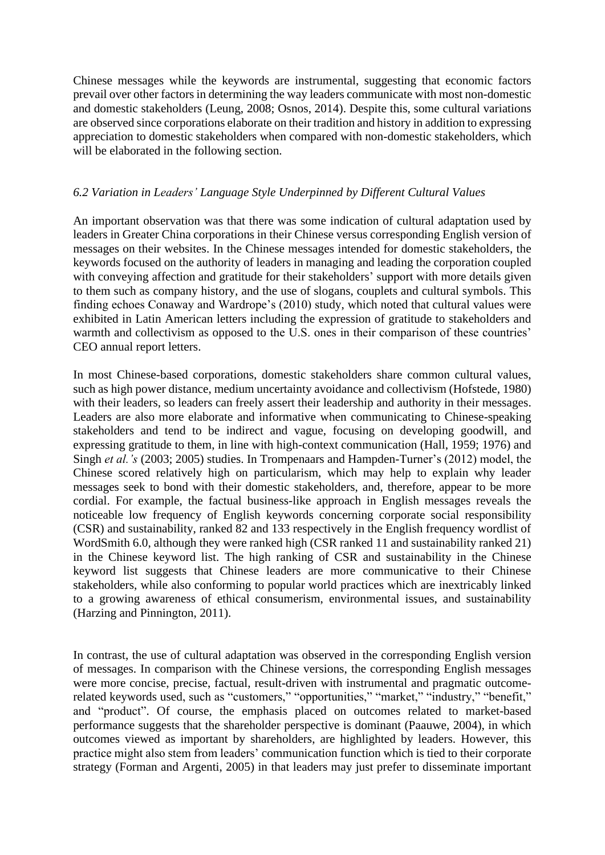Chinese messages while the keywords are instrumental, suggesting that economic factors prevail over other factors in determining the way leaders communicate with most non-domestic and domestic stakeholders (Leung, 2008; Osnos, 2014). Despite this, some cultural variations are observed since corporations elaborate on their tradition and history in addition to expressing appreciation to domestic stakeholders when compared with non-domestic stakeholders, which will be elaborated in the following section.

### *6.2 Variation in Leaders' Language Style Underpinned by Different Cultural Values*

An important observation was that there was some indication of cultural adaptation used by leaders in Greater China corporations in their Chinese versus corresponding English version of messages on their websites. In the Chinese messages intended for domestic stakeholders, the keywords focused on the authority of leaders in managing and leading the corporation coupled with conveying affection and gratitude for their stakeholders' support with more details given to them such as company history, and the use of slogans, couplets and cultural symbols. This finding echoes Conaway and Wardrope's (2010) study, which noted that cultural values were exhibited in Latin American letters including the expression of gratitude to stakeholders and warmth and collectivism as opposed to the U.S. ones in their comparison of these countries' CEO annual report letters.

In most Chinese-based corporations, domestic stakeholders share common cultural values, such as high power distance, medium uncertainty avoidance and collectivism (Hofstede, 1980) with their leaders, so leaders can freely assert their leadership and authority in their messages. Leaders are also more elaborate and informative when communicating to Chinese-speaking stakeholders and tend to be indirect and vague, focusing on developing goodwill, and expressing gratitude to them, in line with high-context communication (Hall, 1959; 1976) and Singh *et al.'s* (2003; 2005) studies. In Trompenaars and Hampden-Turner's (2012) model, the Chinese scored relatively high on particularism, which may help to explain why leader messages seek to bond with their domestic stakeholders, and, therefore, appear to be more cordial. For example, the factual business-like approach in English messages reveals the noticeable low frequency of English keywords concerning corporate social responsibility (CSR) and sustainability, ranked 82 and 133 respectively in the English frequency wordlist of WordSmith 6.0, although they were ranked high (CSR ranked 11 and sustainability ranked 21) in the Chinese keyword list. The high ranking of CSR and sustainability in the Chinese keyword list suggests that Chinese leaders are more communicative to their Chinese stakeholders, while also conforming to popular world practices which are inextricably linked to a growing awareness of ethical consumerism, environmental issues, and sustainability (Harzing and Pinnington, 2011).

In contrast, the use of cultural adaptation was observed in the corresponding English version of messages. In comparison with the Chinese versions, the corresponding English messages were more concise, precise, factual, result-driven with instrumental and pragmatic outcomerelated keywords used, such as "customers," "opportunities," "market," "industry," "benefit," and "product". Of course, the emphasis placed on outcomes related to market-based performance suggests that the shareholder perspective is dominant (Paauwe, 2004), in which outcomes viewed as important by shareholders, are highlighted by leaders. However, this practice might also stem from leaders' communication function which is tied to their corporate strategy (Forman and Argenti, 2005) in that leaders may just prefer to disseminate important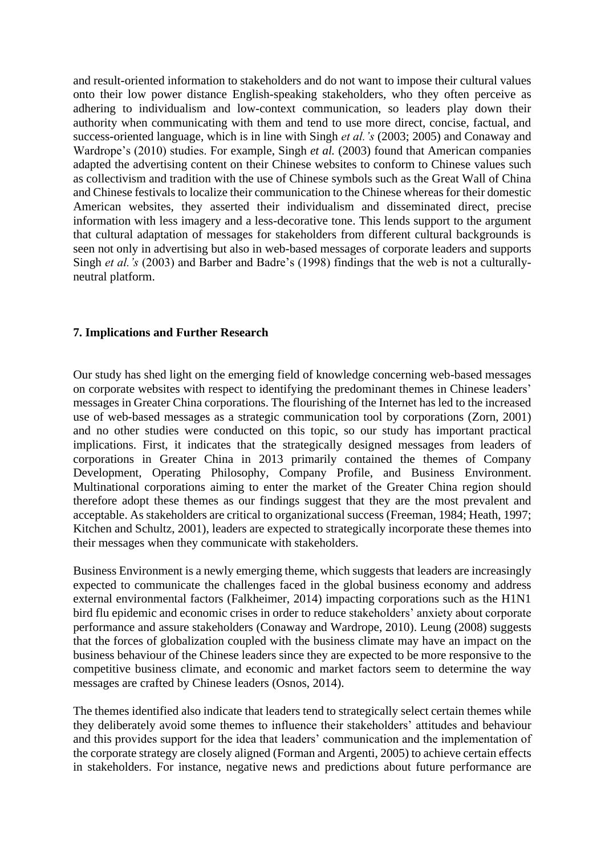and result-oriented information to stakeholders and do not want to impose their cultural values onto their low power distance English-speaking stakeholders, who they often perceive as adhering to individualism and low-context communication, so leaders play down their authority when communicating with them and tend to use more direct, concise, factual, and success-oriented language, which is in line with Singh *et al.'s* (2003; 2005) and Conaway and Wardrope's (2010) studies. For example, Singh *et al.* (2003) found that American companies adapted the advertising content on their Chinese websites to conform to Chinese values such as collectivism and tradition with the use of Chinese symbols such as the Great Wall of China and Chinese festivals to localize their communication to the Chinese whereas for their domestic American websites, they asserted their individualism and disseminated direct, precise information with less imagery and a less-decorative tone. This lends support to the argument that cultural adaptation of messages for stakeholders from different cultural backgrounds is seen not only in advertising but also in web-based messages of corporate leaders and supports Singh *et al.'s* (2003) and Barber and Badre's (1998) findings that the web is not a culturallyneutral platform.

### **7. Implications and Further Research**

Our study has shed light on the emerging field of knowledge concerning web-based messages on corporate websites with respect to identifying the predominant themes in Chinese leaders' messages in Greater China corporations. The flourishing of the Internet has led to the increased use of web-based messages as a strategic communication tool by corporations (Zorn, 2001) and no other studies were conducted on this topic, so our study has important practical implications. First, it indicates that the strategically designed messages from leaders of corporations in Greater China in 2013 primarily contained the themes of Company Development, Operating Philosophy, Company Profile, and Business Environment. Multinational corporations aiming to enter the market of the Greater China region should therefore adopt these themes as our findings suggest that they are the most prevalent and acceptable. As stakeholders are critical to organizational success (Freeman, 1984; Heath, 1997; Kitchen and Schultz, 2001), leaders are expected to strategically incorporate these themes into their messages when they communicate with stakeholders.

Business Environment is a newly emerging theme, which suggests that leaders are increasingly expected to communicate the challenges faced in the global business economy and address external environmental factors (Falkheimer, 2014) impacting corporations such as the H1N1 bird flu epidemic and economic crises in order to reduce stakeholders' anxiety about corporate performance and assure stakeholders (Conaway and Wardrope, 2010). Leung (2008) suggests that the forces of globalization coupled with the business climate may have an impact on the business behaviour of the Chinese leaders since they are expected to be more responsive to the competitive business climate, and economic and market factors seem to determine the way messages are crafted by Chinese leaders (Osnos, 2014).

The themes identified also indicate that leaders tend to strategically select certain themes while they deliberately avoid some themes to influence their stakeholders' attitudes and behaviour and this provides support for the idea that leaders' communication and the implementation of the corporate strategy are closely aligned (Forman and Argenti, 2005) to achieve certain effects in stakeholders. For instance, negative news and predictions about future performance are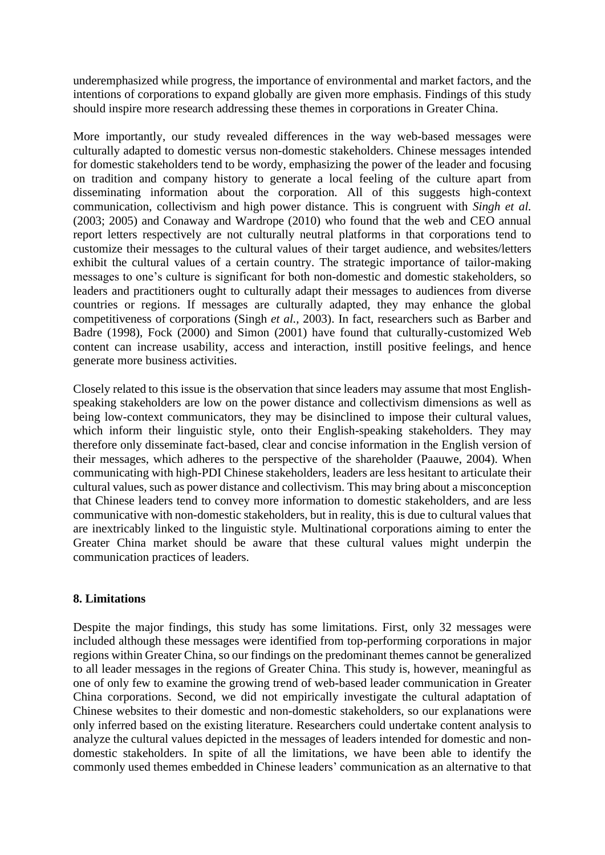underemphasized while progress, the importance of environmental and market factors, and the intentions of corporations to expand globally are given more emphasis. Findings of this study should inspire more research addressing these themes in corporations in Greater China.

More importantly, our study revealed differences in the way web-based messages were culturally adapted to domestic versus non-domestic stakeholders. Chinese messages intended for domestic stakeholders tend to be wordy, emphasizing the power of the leader and focusing on tradition and company history to generate a local feeling of the culture apart from disseminating information about the corporation. All of this suggests high-context communication, collectivism and high power distance. This is congruent with *Singh et al.* (2003; 2005) and Conaway and Wardrope (2010) who found that the web and CEO annual report letters respectively are not culturally neutral platforms in that corporations tend to customize their messages to the cultural values of their target audience, and websites/letters exhibit the cultural values of a certain country. The strategic importance of tailor-making messages to one's culture is significant for both non-domestic and domestic stakeholders, so leaders and practitioners ought to culturally adapt their messages to audiences from diverse countries or regions. If messages are culturally adapted, they may enhance the global competitiveness of corporations (Singh *et al.,* 2003). In fact, researchers such as Barber and Badre (1998), Fock (2000) and Simon (2001) have found that culturally-customized Web content can increase usability, access and interaction, instill positive feelings, and hence generate more business activities.

Closely related to this issue is the observation that since leaders may assume that most Englishspeaking stakeholders are low on the power distance and collectivism dimensions as well as being low-context communicators, they may be disinclined to impose their cultural values, which inform their linguistic style, onto their English-speaking stakeholders. They may therefore only disseminate fact-based, clear and concise information in the English version of their messages, which adheres to the perspective of the shareholder (Paauwe, 2004). When communicating with high-PDI Chinese stakeholders, leaders are less hesitant to articulate their cultural values, such as power distance and collectivism. This may bring about a misconception that Chinese leaders tend to convey more information to domestic stakeholders, and are less communicative with non-domestic stakeholders, but in reality, this is due to cultural values that are inextricably linked to the linguistic style. Multinational corporations aiming to enter the Greater China market should be aware that these cultural values might underpin the communication practices of leaders.

### **8. Limitations**

Despite the major findings, this study has some limitations. First, only 32 messages were included although these messages were identified from top-performing corporations in major regions within Greater China, so our findings on the predominant themes cannot be generalized to all leader messages in the regions of Greater China. This study is, however, meaningful as one of only few to examine the growing trend of web-based leader communication in Greater China corporations. Second, we did not empirically investigate the cultural adaptation of Chinese websites to their domestic and non-domestic stakeholders, so our explanations were only inferred based on the existing literature. Researchers could undertake content analysis to analyze the cultural values depicted in the messages of leaders intended for domestic and nondomestic stakeholders. In spite of all the limitations, we have been able to identify the commonly used themes embedded in Chinese leaders' communication as an alternative to that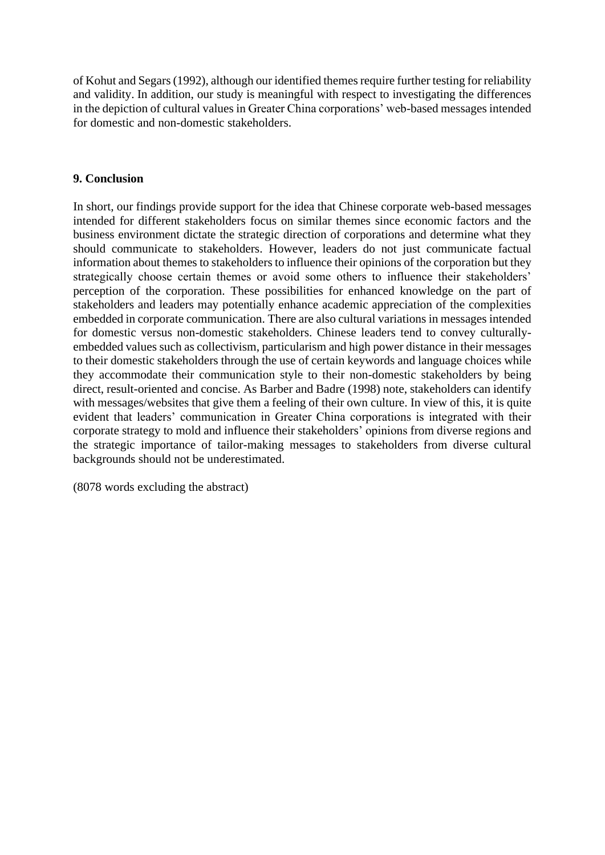of Kohut and Segars(1992), although our identified themes require further testing for reliability and validity. In addition, our study is meaningful with respect to investigating the differences in the depiction of cultural values in Greater China corporations' web-based messages intended for domestic and non-domestic stakeholders.

## **9. Conclusion**

In short, our findings provide support for the idea that Chinese corporate web-based messages intended for different stakeholders focus on similar themes since economic factors and the business environment dictate the strategic direction of corporations and determine what they should communicate to stakeholders. However, leaders do not just communicate factual information about themes to stakeholders to influence their opinions of the corporation but they strategically choose certain themes or avoid some others to influence their stakeholders' perception of the corporation. These possibilities for enhanced knowledge on the part of stakeholders and leaders may potentially enhance academic appreciation of the complexities embedded in corporate communication. There are also cultural variations in messages intended for domestic versus non-domestic stakeholders. Chinese leaders tend to convey culturallyembedded values such as collectivism, particularism and high power distance in their messages to their domestic stakeholders through the use of certain keywords and language choices while they accommodate their communication style to their non-domestic stakeholders by being direct, result-oriented and concise. As Barber and Badre (1998) note, stakeholders can identify with messages/websites that give them a feeling of their own culture. In view of this, it is quite evident that leaders' communication in Greater China corporations is integrated with their corporate strategy to mold and influence their stakeholders' opinions from diverse regions and the strategic importance of tailor-making messages to stakeholders from diverse cultural backgrounds should not be underestimated.

(8078 words excluding the abstract)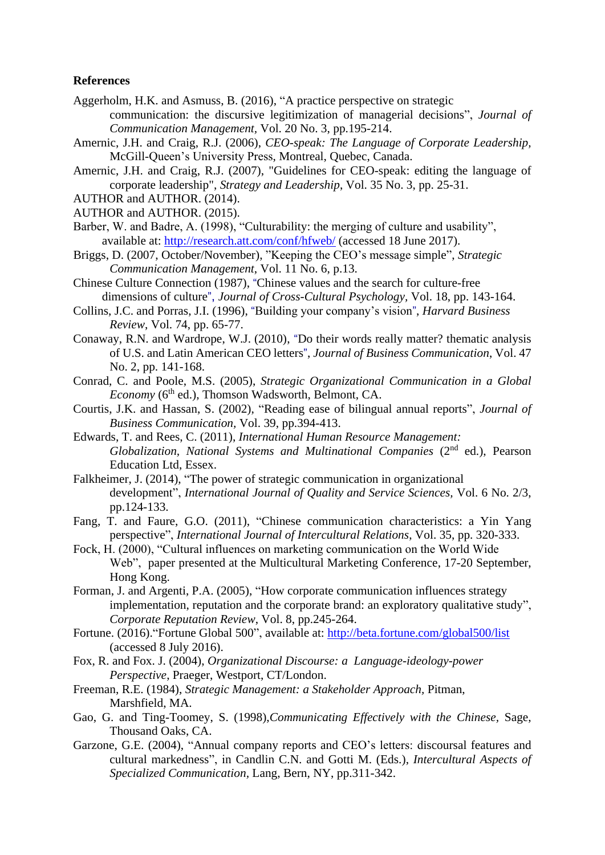### **References**

- Aggerholm, H.K. and Asmuss, B. (2016), "A practice perspective on strategic communication: the discursive legitimization of managerial decisions", *Journal of Communication Management,* Vol. 20 No. 3, pp.195-214.
- Amernic, J.H. and Craig, R.J. (2006), *CEO-speak: The Language of Corporate Leadership,* McGill-Queen's University Press, Montreal, Quebec, Canada.
- Amernic, J.H. and Craig, R.J. (2007), "Guidelines for CEO-speak: editing the language of corporate leadership", *Strategy and Leadership*, Vol. 35 No. 3, pp. 25-31.
- AUTHOR and AUTHOR. (2014).
- AUTHOR and AUTHOR. (2015).
- Barber, W. and Badre, A. (1998), "Culturability: the merging of culture and usability", available at:<http://research.att.com/conf/hfweb/> (accessed 18 June 2017).
- Briggs, D. (2007, October/November), "Keeping the CEO's message simple", *Strategic Communication Management*, Vol. 11 No. 6, p.13.
- Chinese Culture Connection (1987), "Chinese values and the search for culture-free dimensions of culture", *Journal of Cross-Cultural Psychology,* Vol. 18, pp. 143-164.
- Collins, J.C. and Porras, J.I. (1996), "Building your company's vision", *Harvard Business Review*, Vol. 74, pp. 65-77.
- Conaway, R.N. and Wardrope, W.J. (2010), "Do their words really matter? thematic analysis of U.S. and Latin American CEO letters", *Journal of Business Communication*, Vol. 47 No. 2, pp. 141-168.
- Conrad, C. and Poole, M.S. (2005), *Strategic Organizational Communication in a Global Economy* (6<sup>th</sup> ed.), Thomson Wadsworth, Belmont, CA.
- Courtis, J.K. and Hassan, S. (2002), "Reading ease of bilingual annual reports", *Journal of Business Communication,* Vol. 39, pp.394-413.
- Edwards, T. and Rees, C. (2011), *International Human Resource Management: Globalization, National Systems and Multinational Companies* (2nd ed.), Pearson Education Ltd, Essex.
- Falkheimer, J. (2014), "The power of strategic communication in organizational development", *International Journal of Quality and Service Sciences,* Vol. 6 No. 2/3, pp.124-133.
- Fang, T. and Faure, G.O. (2011), "Chinese communication characteristics: a Yin Yang perspective", *International Journal of Intercultural Relations*, Vol. 35, pp. 320-333.
- Fock, H. (2000), "Cultural influences on marketing communication on the World Wide Web", paper presented at the Multicultural Marketing Conference, 17-20 September, Hong Kong.
- Forman, J. and Argenti, P.A. (2005), "How corporate communication influences strategy implementation, reputation and the corporate brand: an exploratory qualitative study", *Corporate Reputation Review*, Vol. 8, pp.245-264.
- Fortune. (2016)."Fortune Global 500", available at:<http://beta.fortune.com/global500/list> (accessed 8 July 2016).
- Fox, R. and Fox. J. (2004), *Organizational Discourse: a Language-ideology-power Perspective*, Praeger, Westport, CT/London.
- Freeman, R.E. (1984), *Strategic Management: a Stakeholder Approach,* Pitman, Marshfield, MA.
- Gao, G. and Ting-Toomey, S. (1998),*Communicating Effectively with the Chinese,* Sage, Thousand Oaks, CA.
- Garzone, G.E. (2004), "Annual company reports and CEO's letters: discoursal features and cultural markedness", in Candlin C.N. and Gotti M. (Eds.), *Intercultural Aspects of Specialized Communication,* Lang, Bern, NY, pp.311-342.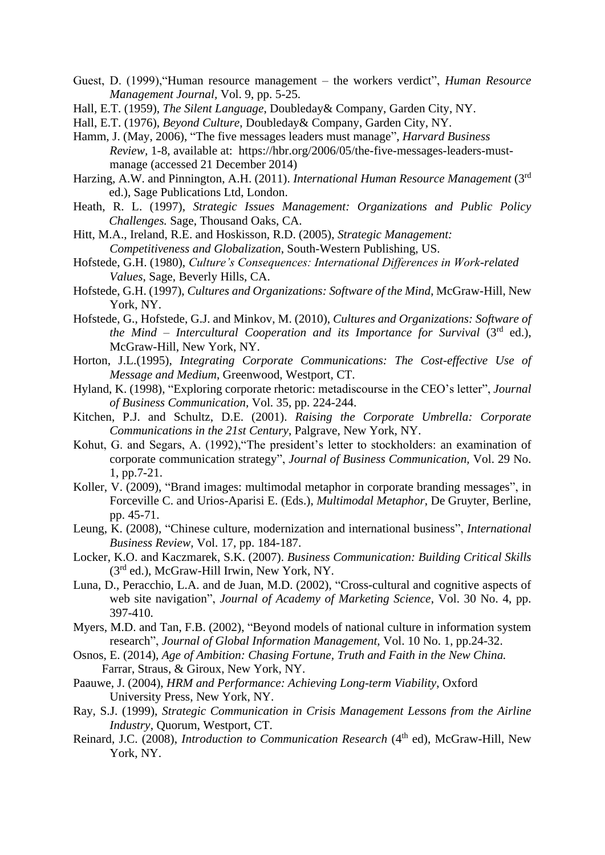- Guest, D. (1999),"Human resource management the workers verdict", *Human Resource Management Journal,* Vol. 9, pp. 5-25.
- Hall, E.T. (1959), *The Silent Language*, Doubleday& Company, Garden City, NY.
- Hall, E.T. (1976), *Beyond Culture*, Doubleday& Company, Garden City, NY.
- Hamm, J. (May, 2006), "The five messages leaders must manage", *Harvard Business Review,* 1-8, available at: https://hbr.org/2006/05/the-five-messages-leaders-mustmanage (accessed 21 December 2014)
- Harzing, A.W. and Pinnington, A.H. (2011). *International Human Resource Management* (3rd ed.), Sage Publications Ltd, London.
- Heath, R. L. (1997), *Strategic Issues Management: Organizations and Public Policy Challenges.* Sage, Thousand Oaks, CA.
- Hitt, M.A., Ireland, R.E. and Hoskisson, R.D. (2005), *Strategic Management: Competitiveness and Globalization*, South-Western Publishing, US.
- Hofstede, G.H. (1980), *Culture's Consequences: International Differences in Work-related Values*, Sage, Beverly Hills, CA.
- Hofstede, G.H. (1997), *Cultures and Organizations: Software of the Mind*, McGraw-Hill, New York, NY.
- Hofstede, G., Hofstede, G.J. and Minkov, M. (2010), *Cultures and Organizations: Software of*  the Mind – Intercultural Cooperation and its Importance for Survival (3<sup>rd</sup> ed.), McGraw-Hill, New York, NY.
- Horton, J.L.(1995), *Integrating Corporate Communications: The Cost-effective Use of Message and Medium*, Greenwood, Westport, CT.
- Hyland, K. (1998), "Exploring corporate rhetoric: metadiscourse in the CEO's letter", *Journal of Business Communication,* Vol. 35, pp. 224-244.
- Kitchen, P.J. and Schultz, D.E. (2001). *Raising the Corporate Umbrella: Corporate Communications in the 21st Century*, Palgrave, New York, NY.
- Kohut, G. and Segars, A. (1992),"The president's letter to stockholders: an examination of corporate communication strategy", *Journal of Business Communication,* Vol. 29 No. 1, pp.7-21.
- Koller, V. (2009), "Brand images: multimodal metaphor in corporate branding messages", in Forceville C. and Urios-Aparisi E. (Eds.), *Multimodal Metaphor*, De Gruyter, Berline, pp. 45-71.
- Leung, K. (2008), "Chinese culture, modernization and international business", *International Business Review,* Vol. 17*,* pp. 184-187.
- Locker, K.O. and Kaczmarek, S.K. (2007). *Business Communication: Building Critical Skills*  $(3<sup>rd</sup>$  ed.), McGraw-Hill Irwin, New York, NY.
- Luna, D., Peracchio, L.A. and de Juan, M.D. (2002), "Cross-cultural and cognitive aspects of web site navigation", *Journal of Academy of Marketing Science*, Vol. 30 No. 4, pp. 397-410.
- Myers, M.D. and Tan, F.B. (2002), "Beyond models of national culture in information system research", *Journal of Global Information Management,* Vol. 10 No. 1, pp.24-32.
- Osnos, E. (2014), *Age of Ambition: Chasing Fortune, Truth and Faith in the New China.*  Farrar, Straus, & Giroux, New York, NY.
- Paauwe, J. (2004), *HRM and Performance: Achieving Long-term Viability*, Oxford University Press, New York, NY.
- Ray, S.J. (1999), *Strategic Communication in Crisis Management Lessons from the Airline Industry*, Quorum, Westport, CT.
- Reinard, J.C. (2008), *Introduction to Communication Research* (4<sup>th</sup> ed), McGraw-Hill, New York, NY.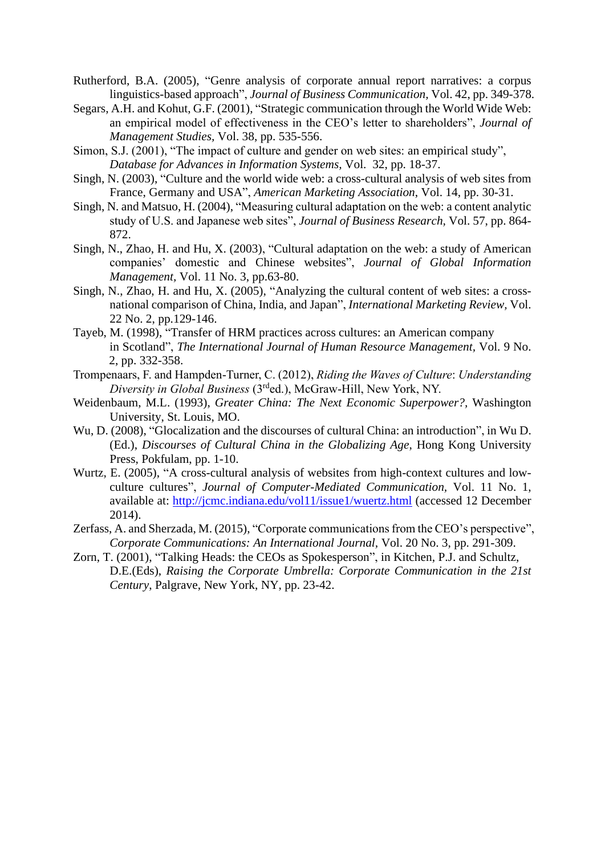- Rutherford, B.A. (2005), "Genre analysis of corporate annual report narratives: a corpus linguistics-based approach", *Journal of Business Communication,* Vol. 42, pp. 349-378.
- Segars, A.H. and Kohut, G.F. (2001), "Strategic communication through the World Wide Web: an empirical model of effectiveness in the CEO's letter to shareholders", *Journal of Management Studies,* Vol. 38, pp. 535-556.
- Simon, S.J. (2001), "The impact of culture and gender on web sites: an empirical study", *Database for Advances in Information Systems,* Vol. 32, pp. 18-37.
- Singh, N. (2003), "Culture and the world wide web: a cross-cultural analysis of web sites from France, Germany and USA", *American Marketing Association*, Vol. 14, pp. 30-31.
- Singh, N. and Matsuo, H. (2004), "Measuring cultural adaptation on the web: a content analytic study of U.S. and Japanese web sites", *Journal of Business Research,* Vol. 57, pp. 864- 872.
- Singh, N., Zhao, H. and Hu, X. (2003), "Cultural adaptation on the web: a study of American companies' domestic and Chinese websites", *Journal of Global Information Management,* Vol. 11 No. 3, pp.63-80.
- Singh, N., Zhao, H. and Hu, X. (2005), "Analyzing the cultural content of web sites: a crossnational comparison of China, India, and Japan", *International Marketing Review,* Vol. 22 No. 2, pp.129-146.
- Tayeb, M. (1998), "Transfer of HRM practices across cultures: an American company in Scotland", *The International Journal of Human Resource Management,* Vol. 9 No. 2, pp. 332-358.
- Trompenaars, F. and Hampden-Turner, C. (2012), *Riding the Waves of Culture*: *Understanding Diversity in Global Business* (3rded.), McGraw-Hill, New York, NY.
- Weidenbaum, M.L. (1993), *Greater China: The Next Economic Superpower?,* Washington University, St. Louis, MO.
- Wu, D. (2008), "Glocalization and the discourses of cultural China: an introduction", in Wu D. (Ed.), *Discourses of Cultural China in the Globalizing Age*, Hong Kong University Press, Pokfulam, pp. 1-10.
- Wurtz, E. (2005), "A cross-cultural analysis of websites from high-context cultures and lowculture cultures", *Journal of Computer-Mediated Communication,* Vol. 11 No. 1, available at:<http://jcmc.indiana.edu/vol11/issue1/wuertz.html> (accessed 12 December 2014).
- Zerfass, A. and Sherzada, M. (2015), "Corporate communications from the CEO's perspective", *Corporate Communications: An International Journal,* Vol. 20 No. 3, pp. 291-309.
- Zorn, T. (2001), "Talking Heads: the CEOs as Spokesperson", in Kitchen, P.J. and Schultz, D.E.(Eds), *Raising the Corporate Umbrella: Corporate Communication in the 21st Century*, Palgrave, New York, NY, pp. 23-42.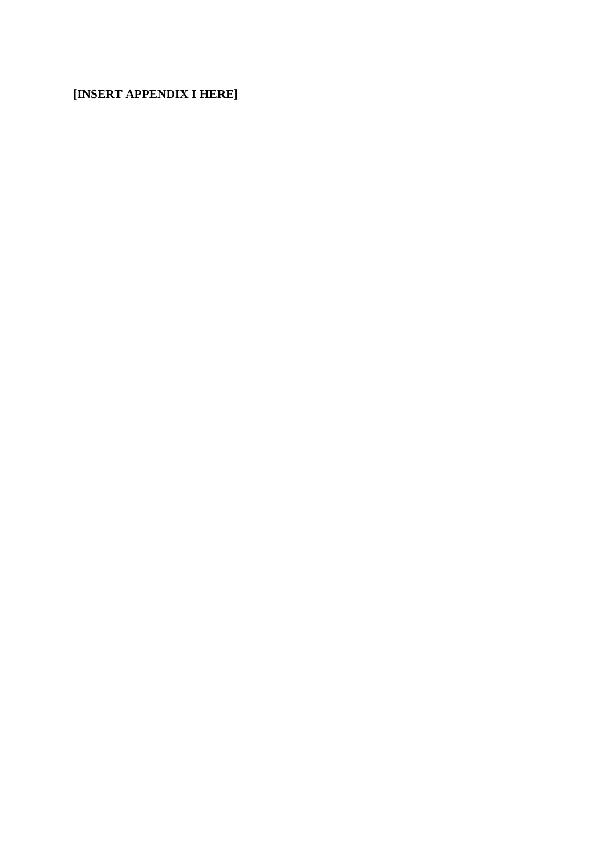## **[INSERT APPENDIX I HERE]**